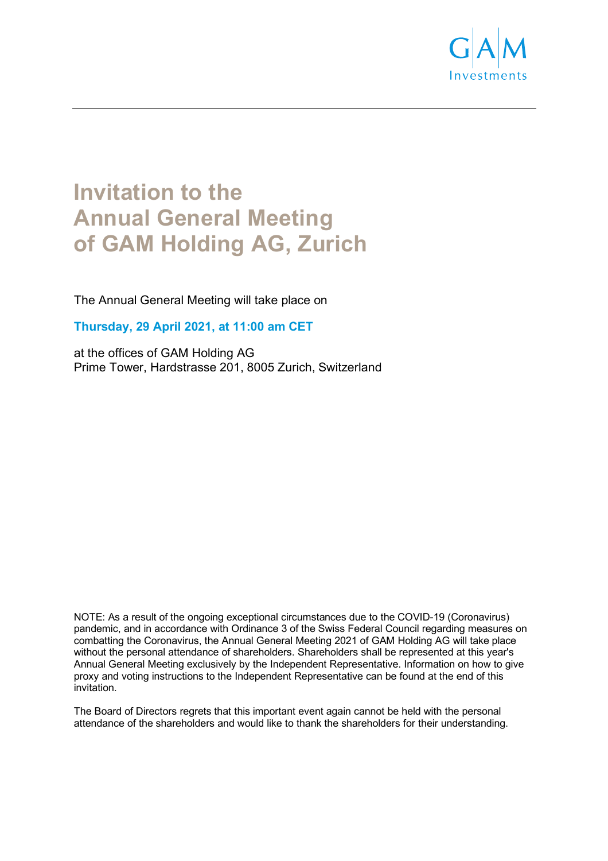

# **Invitation to the Annual General Meeting of GAM Holding AG, Zurich**

The Annual General Meeting will take place on

**Thursday, 29 April 2021, at 11:00 am CET**

at the offices of GAM Holding AG Prime Tower, Hardstrasse 201, 8005 Zurich, Switzerland

NOTE: As a result of the ongoing exceptional circumstances due to the COVID-19 (Coronavirus) pandemic, and in accordance with Ordinance 3 of the Swiss Federal Council regarding measures on combatting the Coronavirus, the Annual General Meeting 2021 of GAM Holding AG will take place without the personal attendance of shareholders. Shareholders shall be represented at this year's Annual General Meeting exclusively by the Independent Representative. Information on how to give proxy and voting instructions to the Independent Representative can be found at the end of this invitation.

The Board of Directors regrets that this important event again cannot be held with the personal attendance of the shareholders and would like to thank the shareholders for their understanding.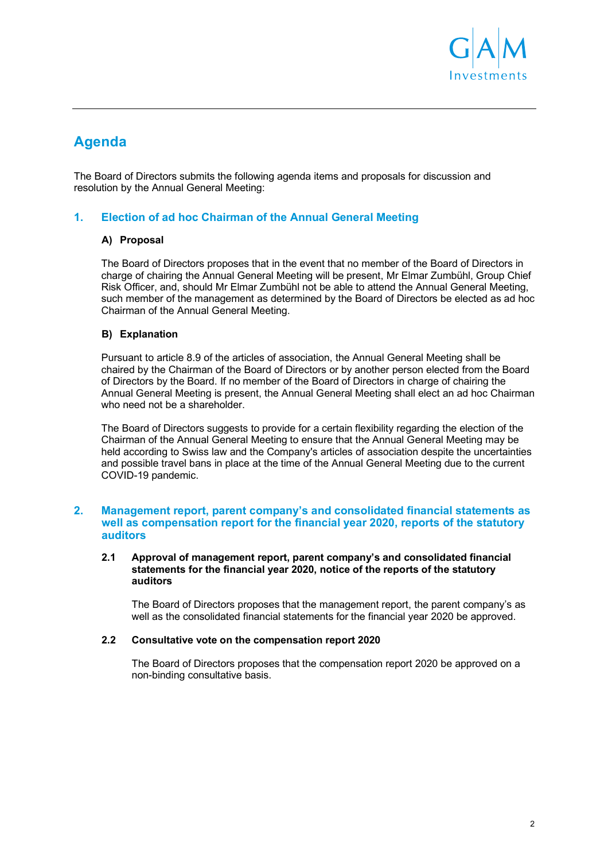

# **Agenda**

The Board of Directors submits the following agenda items and proposals for discussion and resolution by the Annual General Meeting:

# **1. Election of ad hoc Chairman of the Annual General Meeting**

#### **A) Proposal**

The Board of Directors proposes that in the event that no member of the Board of Directors in charge of chairing the Annual General Meeting will be present, Mr Elmar Zumbühl, Group Chief Risk Officer, and, should Mr Elmar Zumbühl not be able to attend the Annual General Meeting, such member of the management as determined by the Board of Directors be elected as ad hoc Chairman of the Annual General Meeting.

#### **B) Explanation**

Pursuant to article 8.9 of the articles of association, the Annual General Meeting shall be chaired by the Chairman of the Board of Directors or by another person elected from the Board of Directors by the Board. If no member of the Board of Directors in charge of chairing the Annual General Meeting is present, the Annual General Meeting shall elect an ad hoc Chairman who need not be a shareholder.

The Board of Directors suggests to provide for a certain flexibility regarding the election of the Chairman of the Annual General Meeting to ensure that the Annual General Meeting may be held according to Swiss law and the Company's articles of association despite the uncertainties and possible travel bans in place at the time of the Annual General Meeting due to the current COVID-19 pandemic.

#### **2. Management report, parent company's and consolidated financial statements as well as compensation report for the financial year 2020, reports of the statutory auditors**

#### **2.1 Approval of management report, parent company's and consolidated financial statements for the financial year 2020, notice of the reports of the statutory auditors**

The Board of Directors proposes that the management report, the parent company's as well as the consolidated financial statements for the financial year 2020 be approved.

#### **2.2 Consultative vote on the compensation report 2020**

The Board of Directors proposes that the compensation report 2020 be approved on a non-binding consultative basis.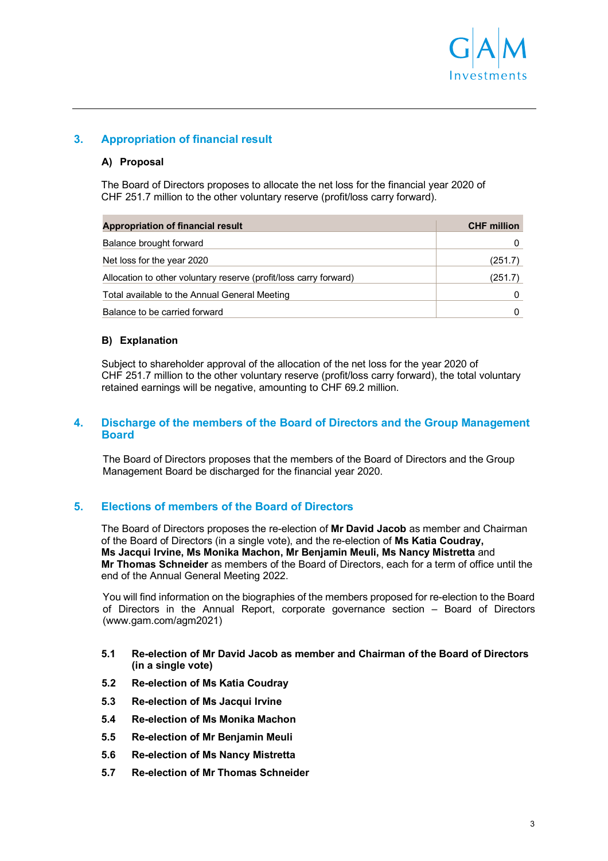

# **3. Appropriation of financial result**

#### **A) Proposal**

The Board of Directors proposes to allocate the net loss for the financial year 2020 of CHF 251.7 million to the other voluntary reserve (profit/loss carry forward).

| <b>Appropriation of financial result</b>                          | <b>CHF</b> million |
|-------------------------------------------------------------------|--------------------|
| Balance brought forward                                           | 0                  |
| Net loss for the year 2020                                        | (251.7)            |
| Allocation to other voluntary reserve (profit/loss carry forward) | (251.7)            |
| Total available to the Annual General Meeting                     |                    |
| Balance to be carried forward                                     |                    |

#### **B) Explanation**

Subject to shareholder approval of the allocation of the net loss for the year 2020 of CHF 251.7 million to the other voluntary reserve (profit/loss carry forward), the total voluntary retained earnings will be negative, amounting to CHF 69.2 million.

#### **4. Discharge of the members of the Board of Directors and the Group Management Board**

The Board of Directors proposes that the members of the Board of Directors and the Group Management Board be discharged for the financial year 2020.

# **5. Elections of members of the Board of Directors**

The Board of Directors proposes the re-election of **Mr David Jacob** as member and Chairman of the Board of Directors (in a single vote), and the re-election of **Ms Katia Coudray, Ms Jacqui Irvine, Ms Monika Machon, Mr Benjamin Meuli, Ms Nancy Mistretta** and **Mr Thomas Schneider** as members of the Board of Directors, each for a term of office until the end of the Annual General Meeting 2022.

You will find information on the biographies of the members proposed for re-election to the Board of Directors in the Annual Report, corporate governance section – Board of Directors (www.gam.com/agm2021)

- **5.1 Re-election of Mr David Jacob as member and Chairman of the Board of Directors (in a single vote)**
- **5.2 Re-election of Ms Katia Coudray**
- **5.3 Re-election of Ms Jacqui Irvine**
- **5.4 Re-election of Ms Monika Machon**
- **5.5 Re-election of Mr Benjamin Meuli**
- **5.6 Re-election of Ms Nancy Mistretta**
- **5.7 Re-election of Mr Thomas Schneider**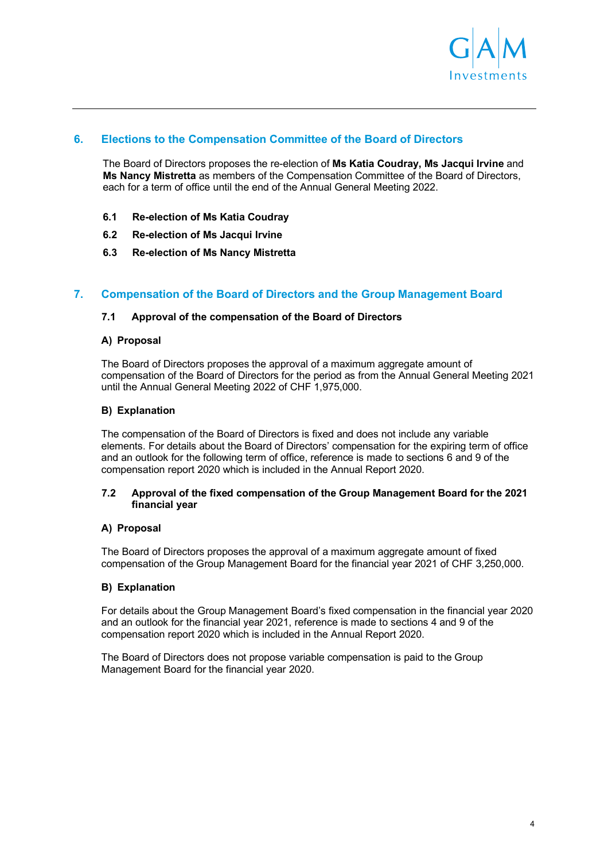

# **6. Elections to the Compensation Committee of the Board of Directors**

The Board of Directors proposes the re-election of **Ms Katia Coudray, Ms Jacqui Irvine** and **Ms Nancy Mistretta** as members of the Compensation Committee of the Board of Directors, each for a term of office until the end of the Annual General Meeting 2022.

- **6.1 Re-election of Ms Katia Coudray**
- **6.2 Re-election of Ms Jacqui Irvine**
- **6.3 Re-election of Ms Nancy Mistretta**

### **7. Compensation of the Board of Directors and the Group Management Board**

#### **7.1 Approval of the compensation of the Board of Directors**

#### **A) Proposal**

The Board of Directors proposes the approval of a maximum aggregate amount of compensation of the Board of Directors for the period as from the Annual General Meeting 2021 until the Annual General Meeting 2022 of CHF 1,975,000.

#### **B) Explanation**

The compensation of the Board of Directors is fixed and does not include any variable elements. For details about the Board of Directors' compensation for the expiring term of office and an outlook for the following term of office, reference is made to sections 6 and 9 of the compensation report 2020 which is included in the Annual Report 2020.

#### **7.2 Approval of the fixed compensation of the Group Management Board for the 2021 financial year**

#### **A) Proposal**

The Board of Directors proposes the approval of a maximum aggregate amount of fixed compensation of the Group Management Board for the financial year 2021 of CHF 3,250,000.

#### **B) Explanation**

For details about the Group Management Board's fixed compensation in the financial year 2020 and an outlook for the financial year 2021, reference is made to sections 4 and 9 of the compensation report 2020 which is included in the Annual Report 2020.

The Board of Directors does not propose variable compensation is paid to the Group Management Board for the financial year 2020.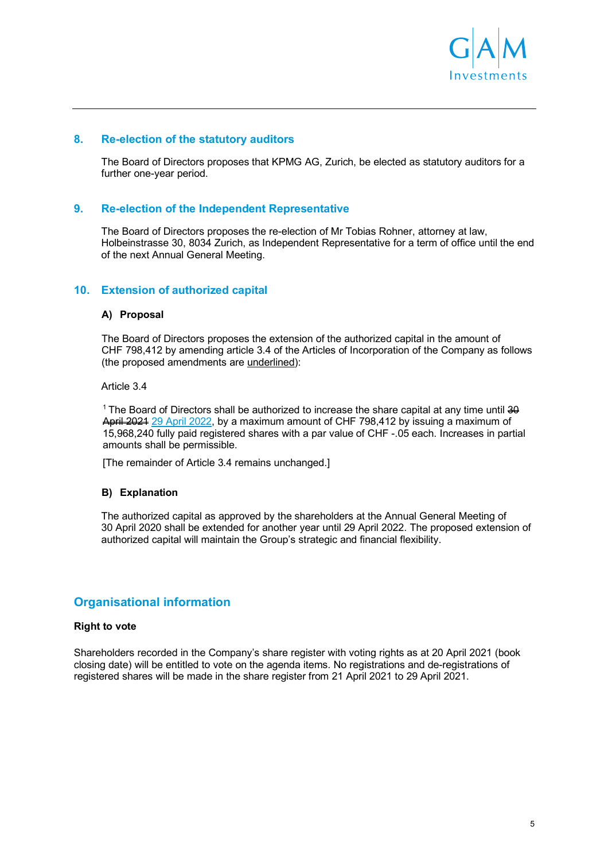

#### **8. Re-election of the statutory auditors**

The Board of Directors proposes that KPMG AG, Zurich, be elected as statutory auditors for a further one-year period.

#### **9. Re-election of the Independent Representative**

The Board of Directors proposes the re-election of Mr Tobias Rohner, attorney at law, Holbeinstrasse 30, 8034 Zurich, as Independent Representative for a term of office until the end of the next Annual General Meeting.

#### **10. Extension of authorized capital**

#### **A) Proposal**

The Board of Directors proposes the extension of the authorized capital in the amount of CHF 798,412 by amending article 3.4 of the Articles of Incorporation of the Company as follows (the proposed amendments are underlined):

Article 3.4

<sup>1</sup> The Board of Directors shall be authorized to increase the share capital at any time until 30 April 2024 29 April 2022, by a maximum amount of CHF 798,412 by issuing a maximum of 15,968,240 fully paid registered shares with a par value of CHF -.05 each. Increases in partial amounts shall be permissible.

[The remainder of Article 3.4 remains unchanged.]

#### **B) Explanation**

The authorized capital as approved by the shareholders at the Annual General Meeting of 30 April 2020 shall be extended for another year until 29 April 2022. The proposed extension of authorized capital will maintain the Group's strategic and financial flexibility.

# **Organisational information**

#### **Right to vote**

Shareholders recorded in the Company's share register with voting rights as at 20 April 2021 (book closing date) will be entitled to vote on the agenda items. No registrations and de-registrations of registered shares will be made in the share register from 21 April 2021 to 29 April 2021.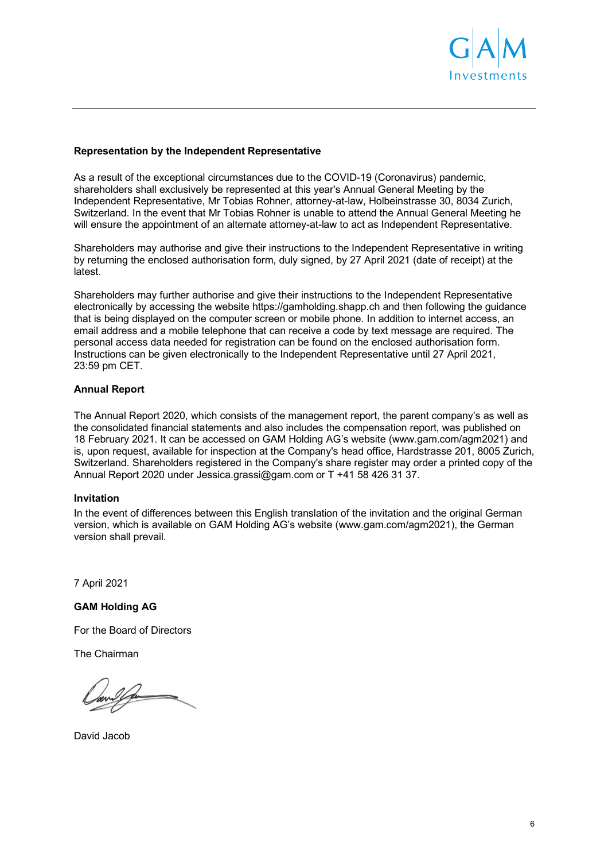

#### **Representation by the Independent Representative**

As a result of the exceptional circumstances due to the COVID-19 (Coronavirus) pandemic, shareholders shall exclusively be represented at this year's Annual General Meeting by the Independent Representative, Mr Tobias Rohner, attorney-at-law, Holbeinstrasse 30, 8034 Zurich, Switzerland. In the event that Mr Tobias Rohner is unable to attend the Annual General Meeting he will ensure the appointment of an alternate attorney-at-law to act as Independent Representative.

Shareholders may authorise and give their instructions to the Independent Representative in writing by returning the enclosed authorisation form, duly signed, by 27 April 2021 (date of receipt) at the latest.

Shareholders may further authorise and give their instructions to the Independent Representative electronically by accessing the website https://gamholding.shapp.ch and then following the guidance that is being displayed on the computer screen or mobile phone. In addition to internet access, an email address and a mobile telephone that can receive a code by text message are required. The personal access data needed for registration can be found on the enclosed authorisation form. Instructions can be given electronically to the Independent Representative until 27 April 2021, 23:59 pm CET.

#### **Annual Report**

The Annual Report 2020, which consists of the management report, the parent company's as well as the consolidated financial statements and also includes the compensation report, was published on 18 February 2021. It can be accessed on GAM Holding AG's website (www.gam.com/agm2021) and is, upon request, available for inspection at the Company's head office, Hardstrasse 201, 8005 Zurich, Switzerland. Shareholders registered in the Company's share register may order a printed copy of the Annual Report 2020 under Jessica.grassi@gam.com or T +41 58 426 31 37.

#### **Invitation**

In the event of differences between this English translation of the invitation and the original German version, which is available on GAM Holding AG's website (www.gam.com/agm2021), the German version shall prevail.

7 April 2021

**GAM Holding AG** 

For the Board of Directors

The Chairman

David Jacob